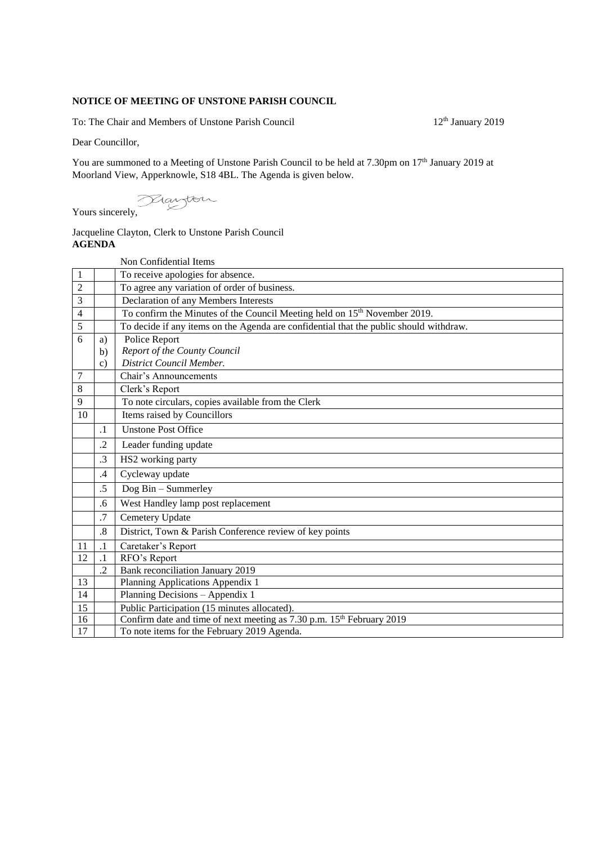## **NOTICE OF MEETING OF UNSTONE PARISH COUNCIL**

To: The Chair and Members of Unstone Parish Council 12<sup>th</sup> January 2019

Dear Councillor,

You are summoned to a Meeting of Unstone Parish Council to be held at 7.30pm on 17<sup>th</sup> January 2019 at Moorland View, Apperknowle, S18 4BL. The Agenda is given below.

Yours sincerely,

## Jacqueline Clayton, Clerk to Unstone Parish Council **AGENDA**

|                |                 | Non Confidential Items                                                                 |
|----------------|-----------------|----------------------------------------------------------------------------------------|
| $\mathbf{1}$   |                 | To receive apologies for absence.                                                      |
| $\overline{2}$ |                 | To agree any variation of order of business.                                           |
| 3              |                 | Declaration of any Members Interests                                                   |
| 4              |                 | To confirm the Minutes of the Council Meeting held on 15 <sup>th</sup> November 2019.  |
| 5              |                 | To decide if any items on the Agenda are confidential that the public should withdraw. |
| 6              | a)              | Police Report                                                                          |
|                | $\mathbf{b}$    | Report of the County Council                                                           |
|                | $\mathbf{c})$   | District Council Member.                                                               |
| 7              |                 | Chair's Announcements                                                                  |
| 8              |                 | Clerk's Report                                                                         |
| 9              |                 | To note circulars, copies available from the Clerk                                     |
| 10             |                 | Items raised by Councillors                                                            |
|                | $\cdot$ 1       | <b>Unstone Post Office</b>                                                             |
|                | $\cdot$ .2      | Leader funding update                                                                  |
|                | .3              | HS2 working party                                                                      |
|                | .4              | Cycleway update                                                                        |
|                | $.5\,$          | Dog Bin - Summerley                                                                    |
|                | .6              | West Handley lamp post replacement                                                     |
|                | .7              | Cemetery Update                                                                        |
|                | .8              | District, Town & Parish Conference review of key points                                |
| 11             | $\cdot$ 1       | Caretaker's Report                                                                     |
| 12             | $\cdot$ 1       | RFO's Report                                                                           |
|                | $\overline{.2}$ | Bank reconciliation January 2019                                                       |
| 13             |                 | Planning Applications Appendix 1                                                       |
| 14             |                 | Planning Decisions - Appendix 1                                                        |
| 15             |                 | Public Participation (15 minutes allocated).                                           |
| 16             |                 | Confirm date and time of next meeting as 7.30 p.m. 15 <sup>th</sup> February 2019      |
| 17             |                 | To note items for the February 2019 Agenda.                                            |